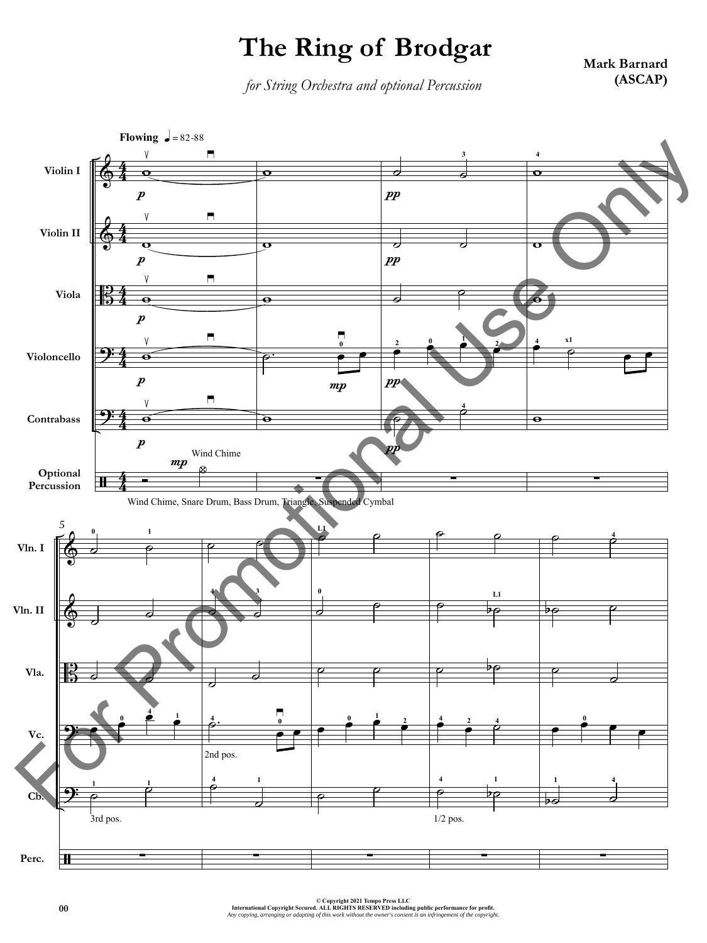## **The Ring of Brodgar**

*for String Orchestra and optional Percussion*

**Mark Barnard (ASCAP)**

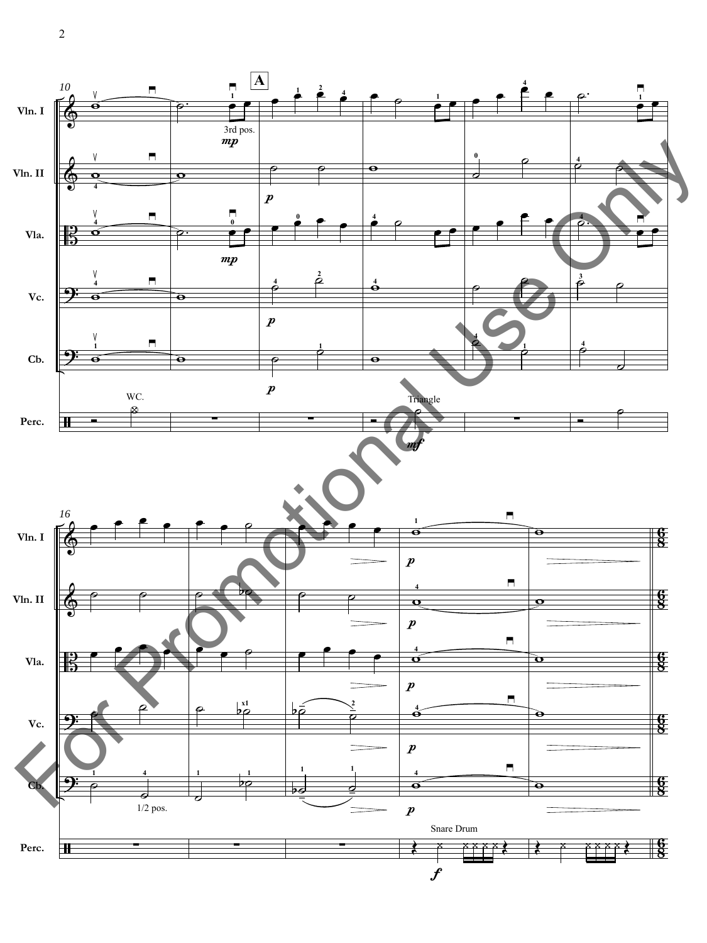

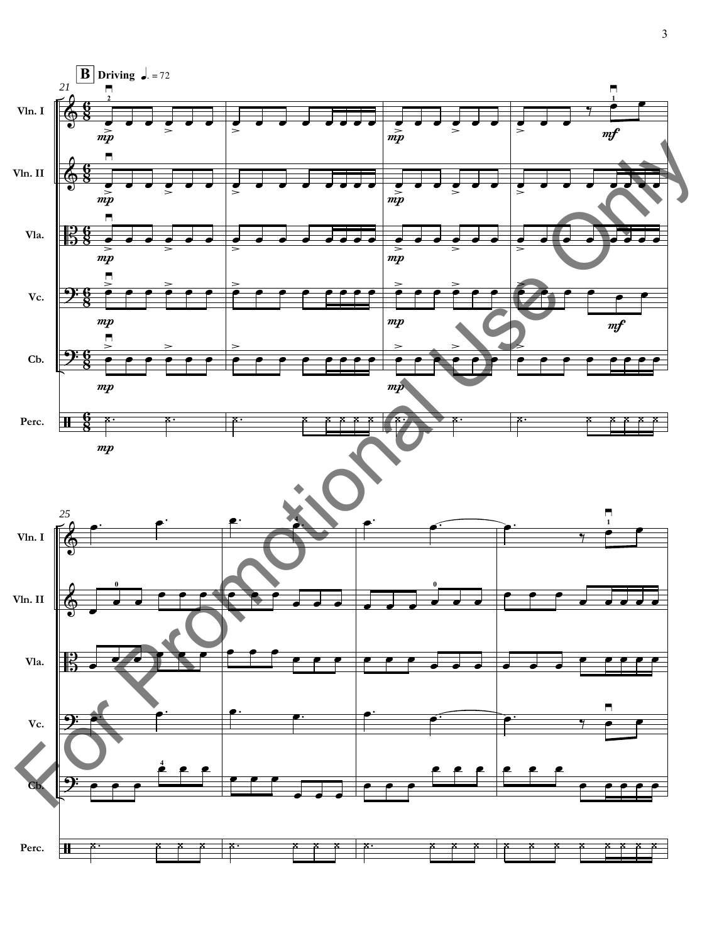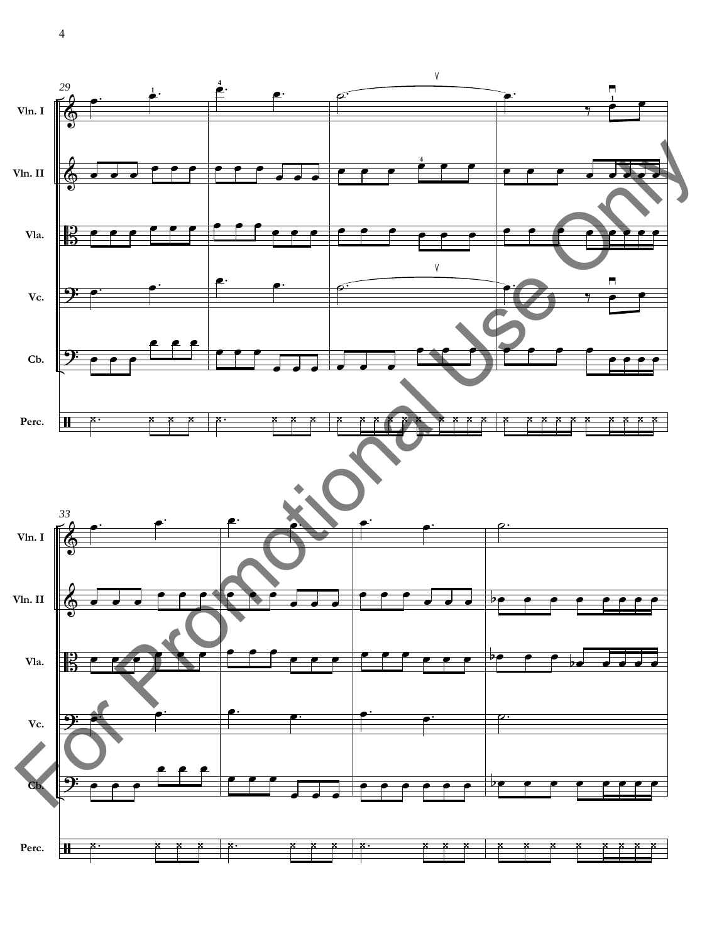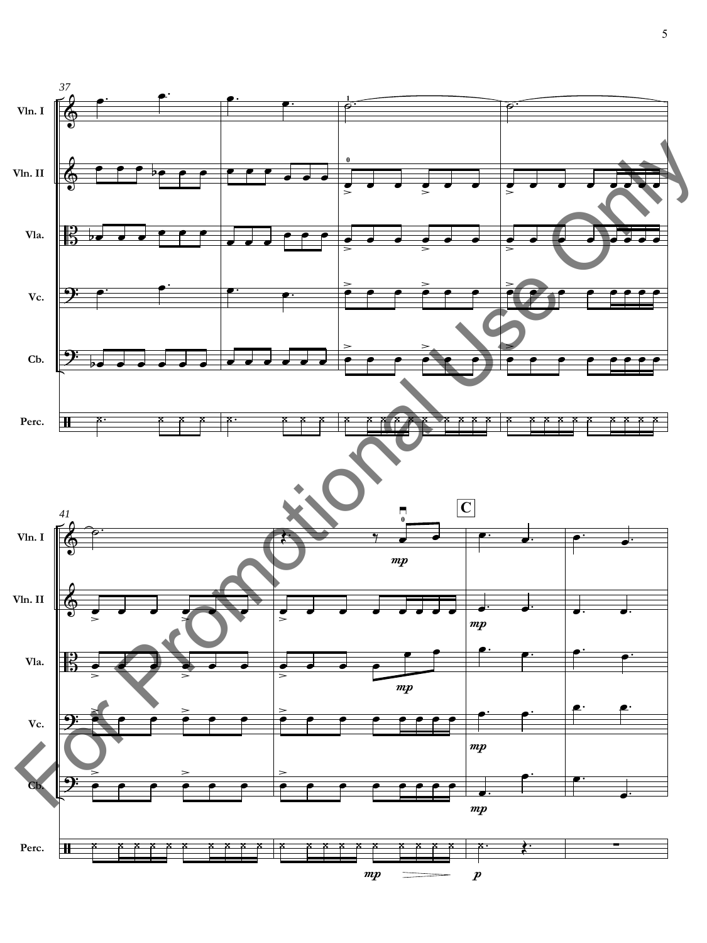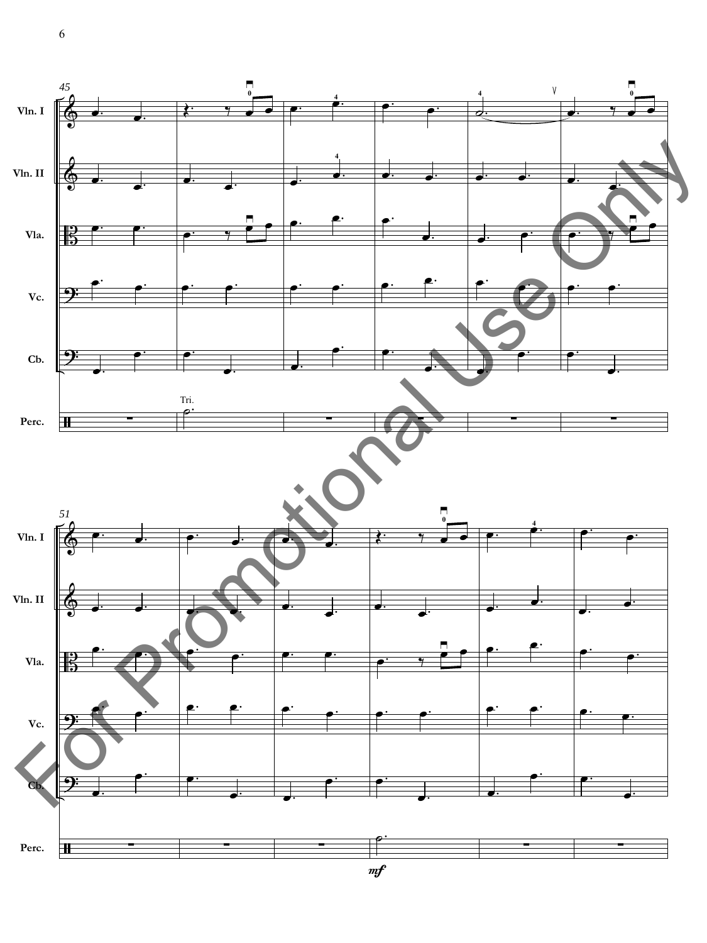

 $m f$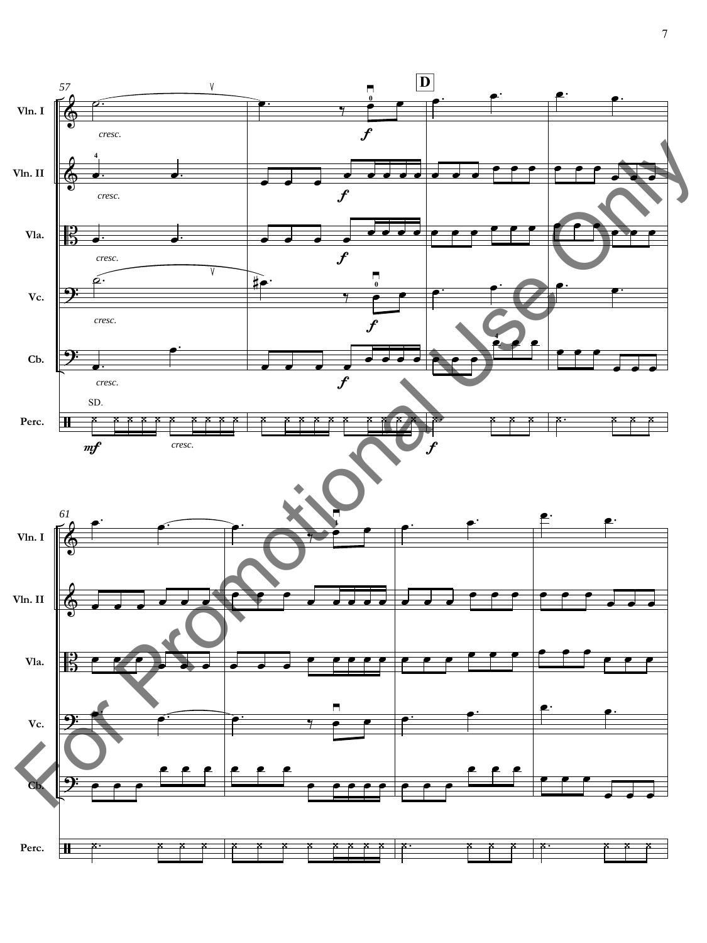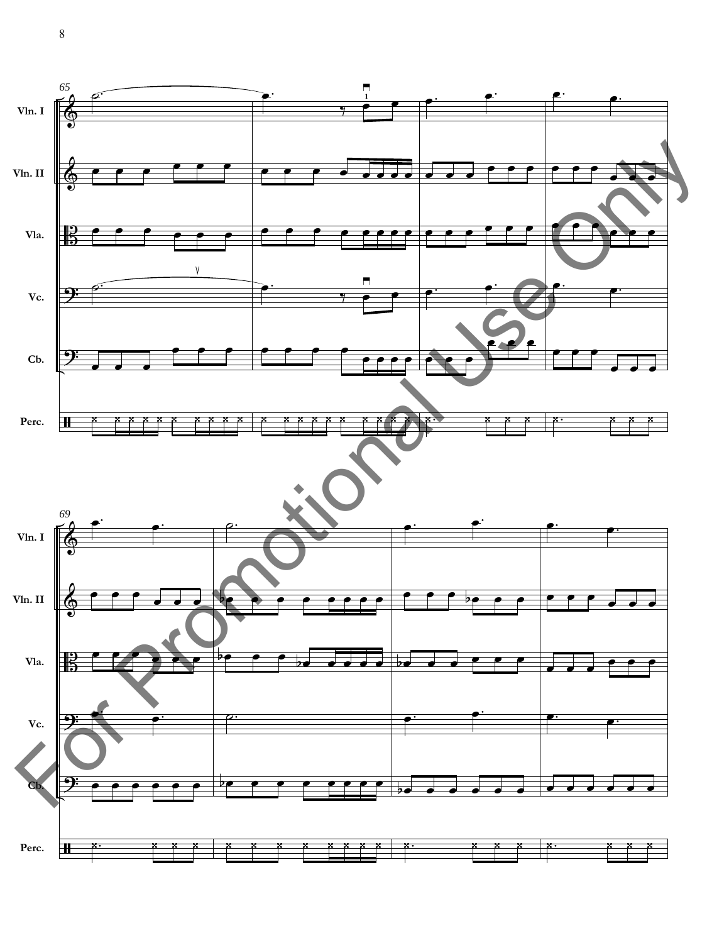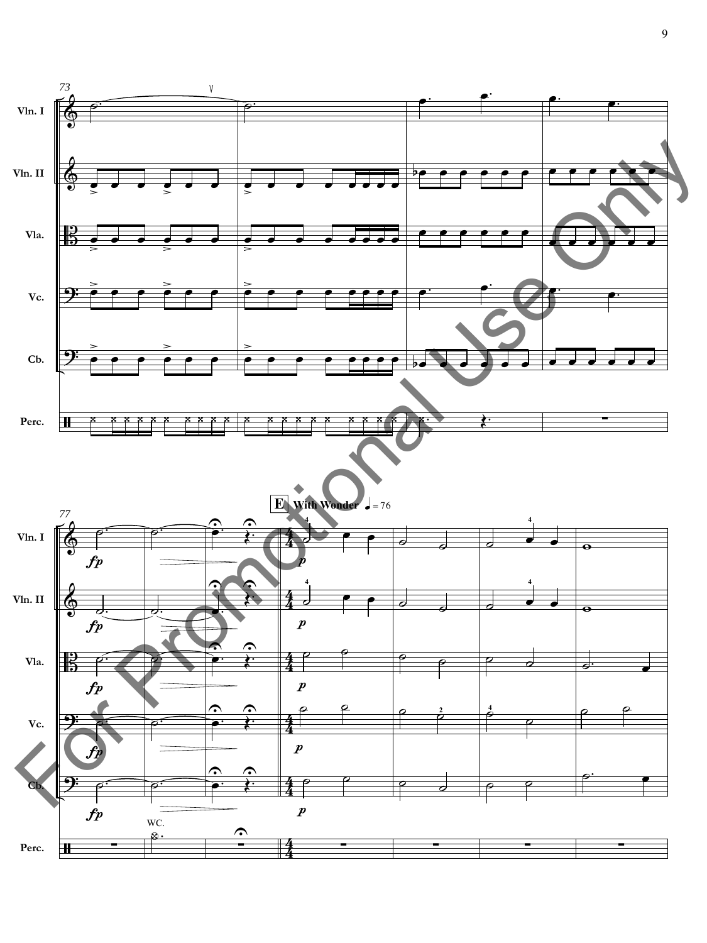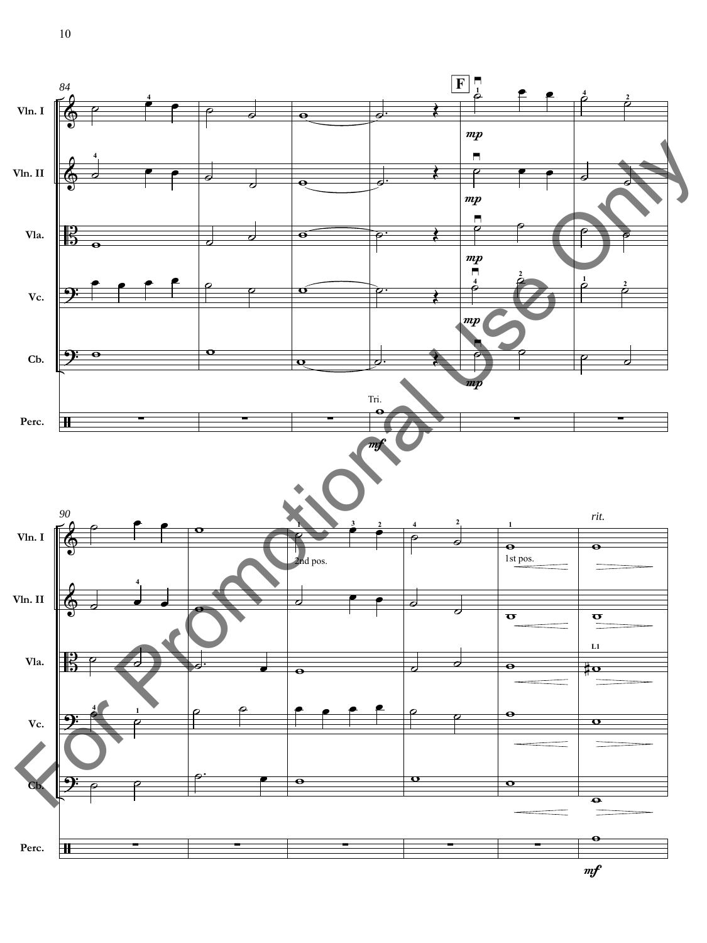10



 $m f$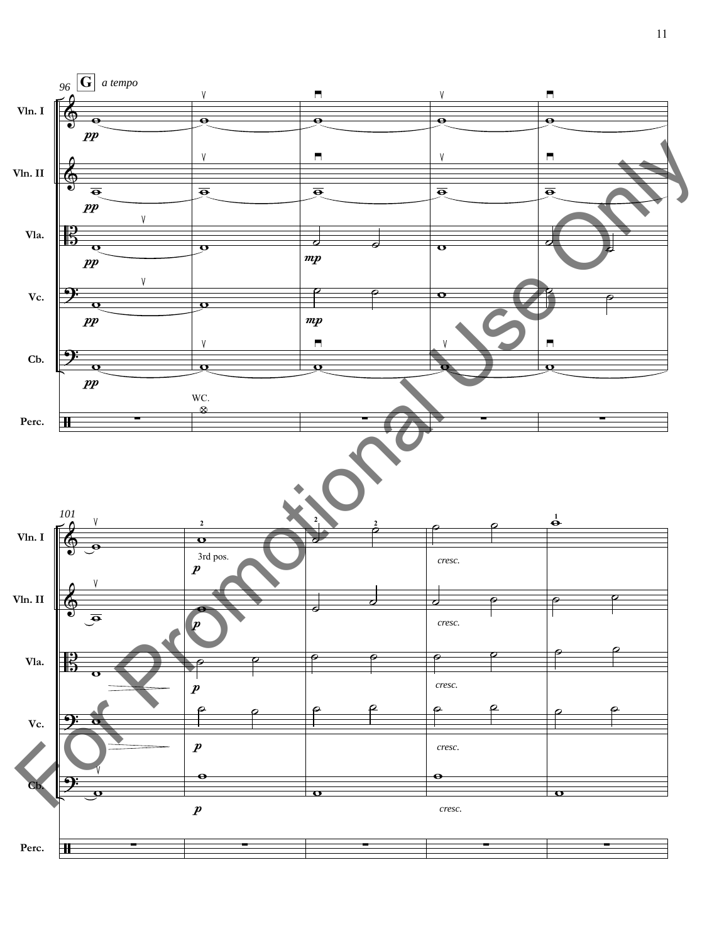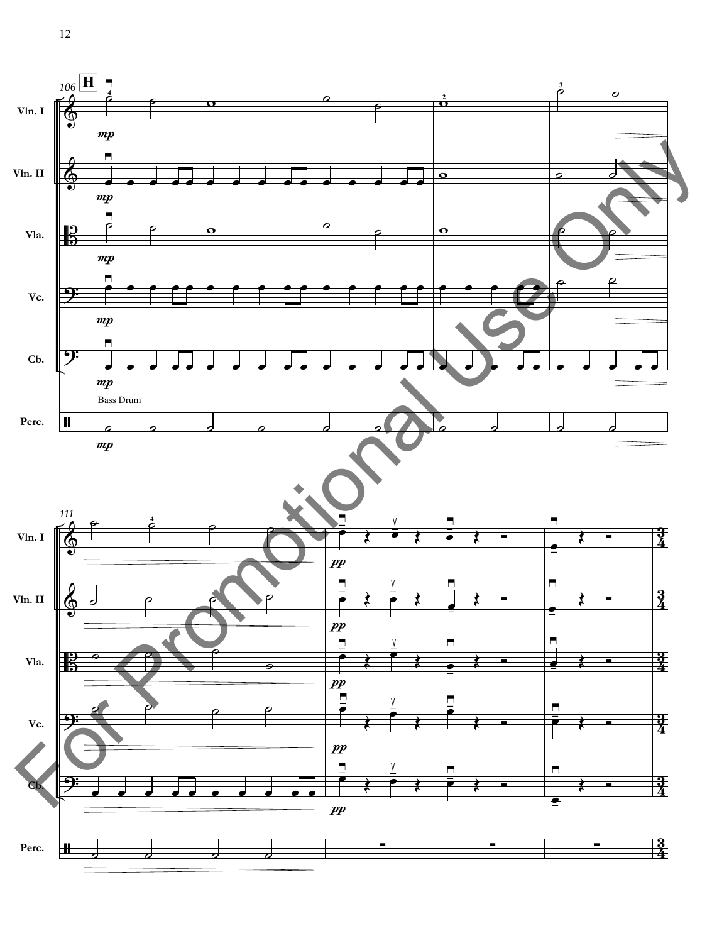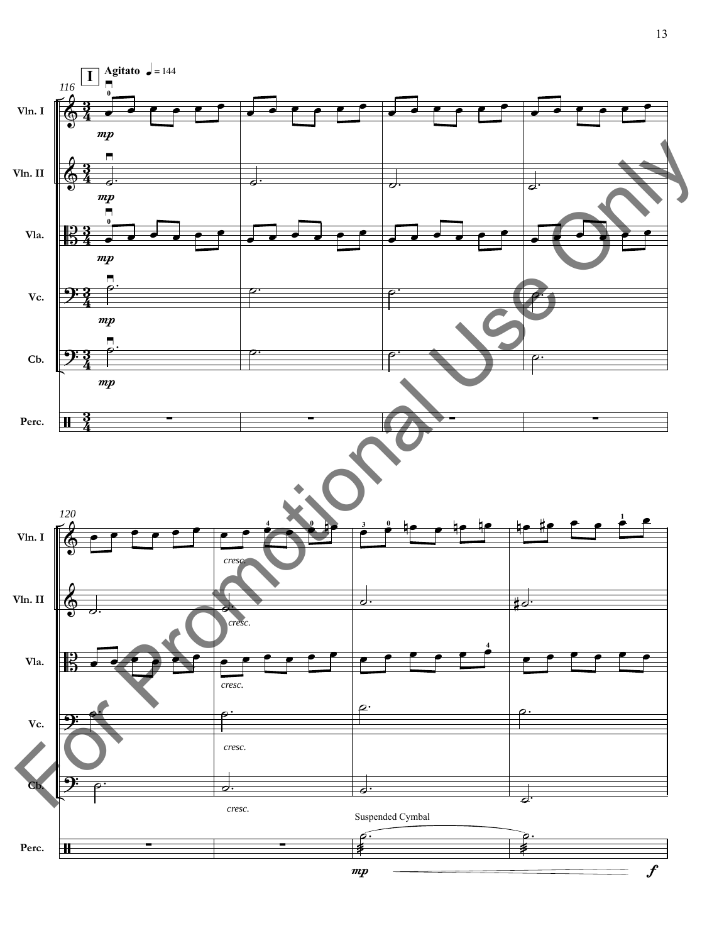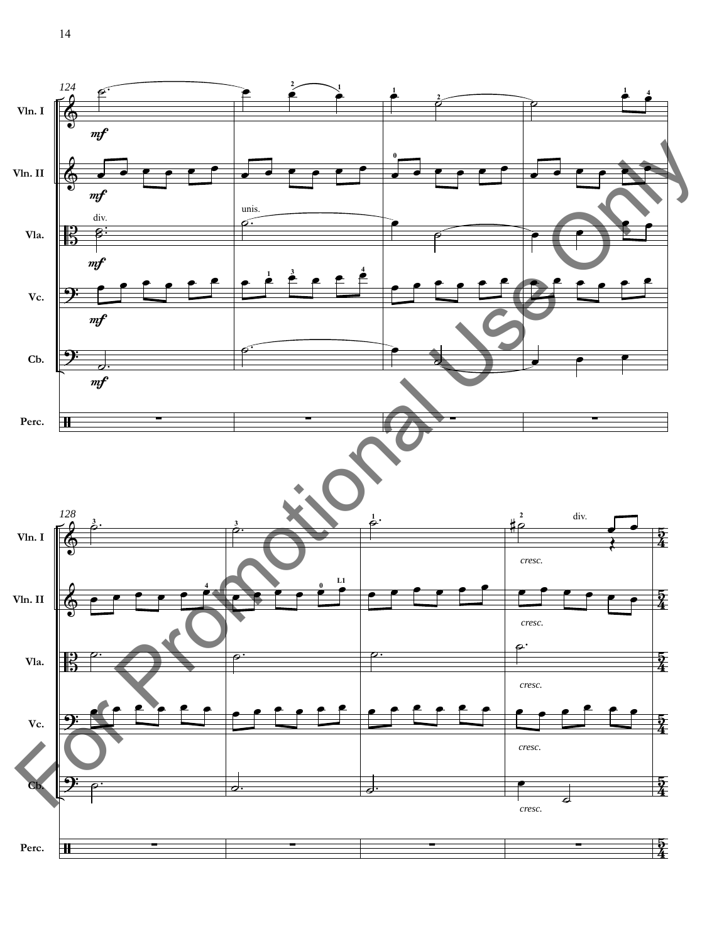

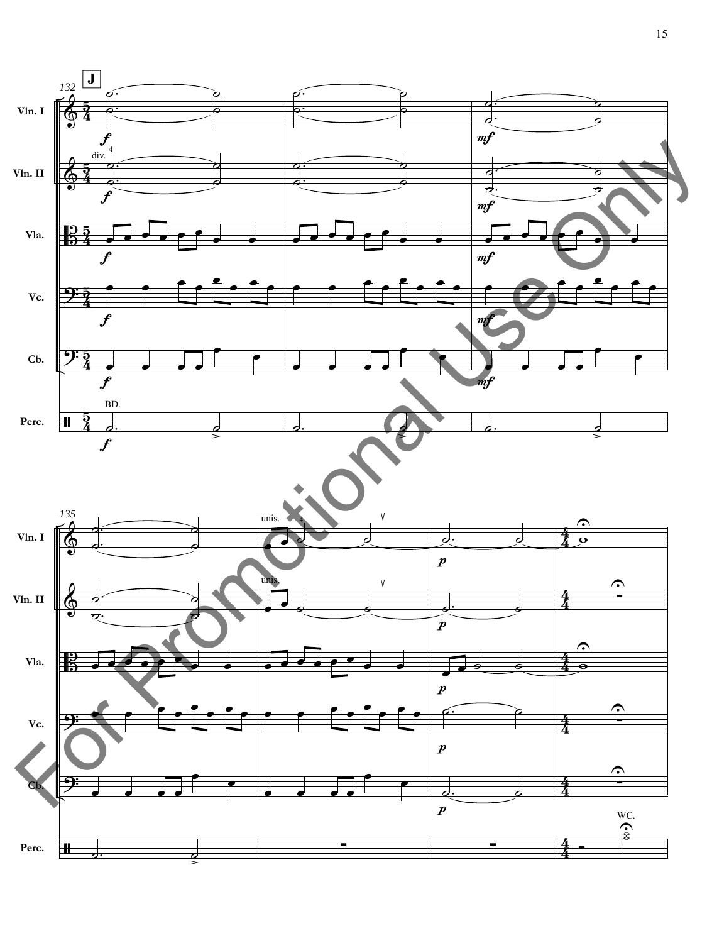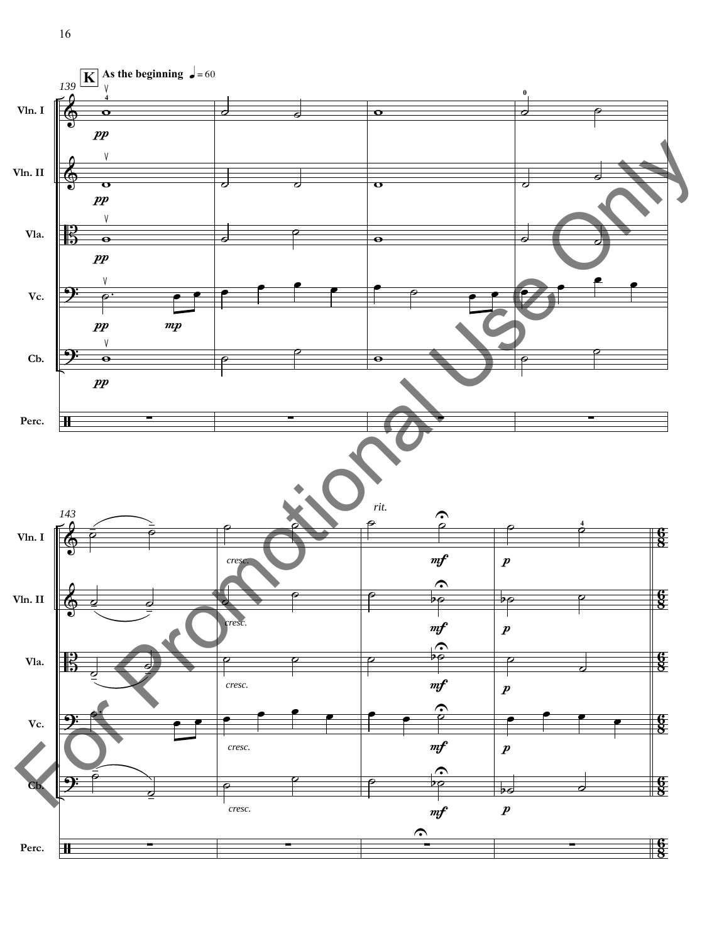16

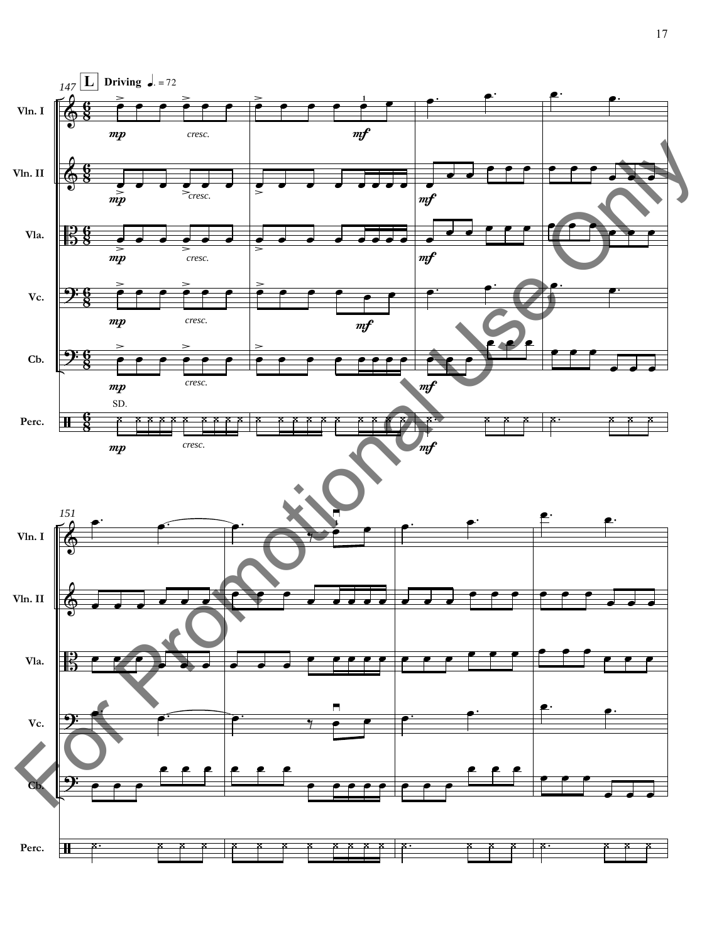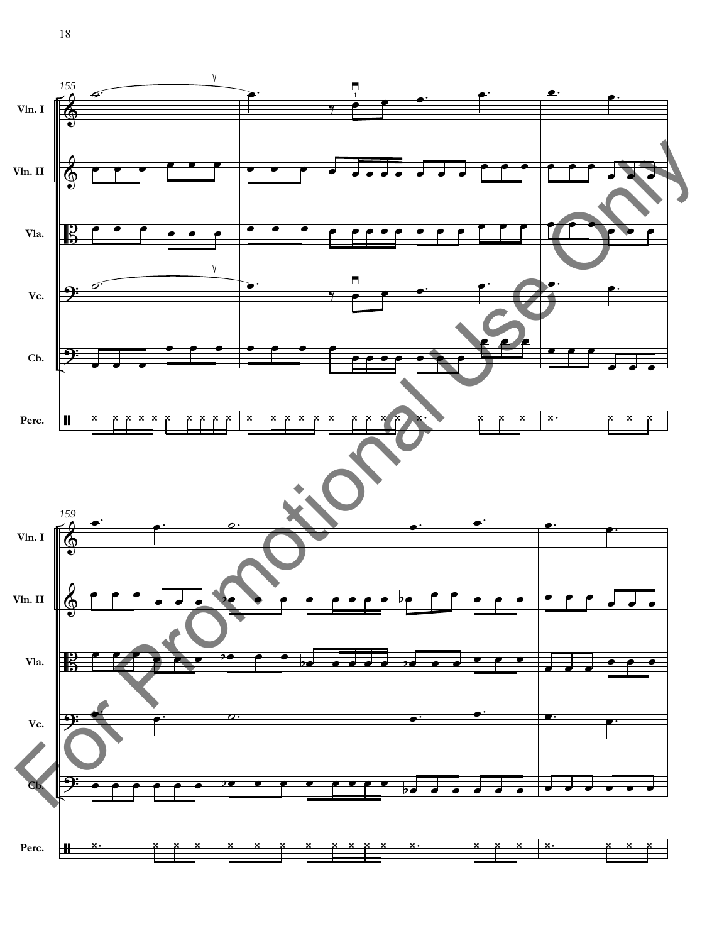